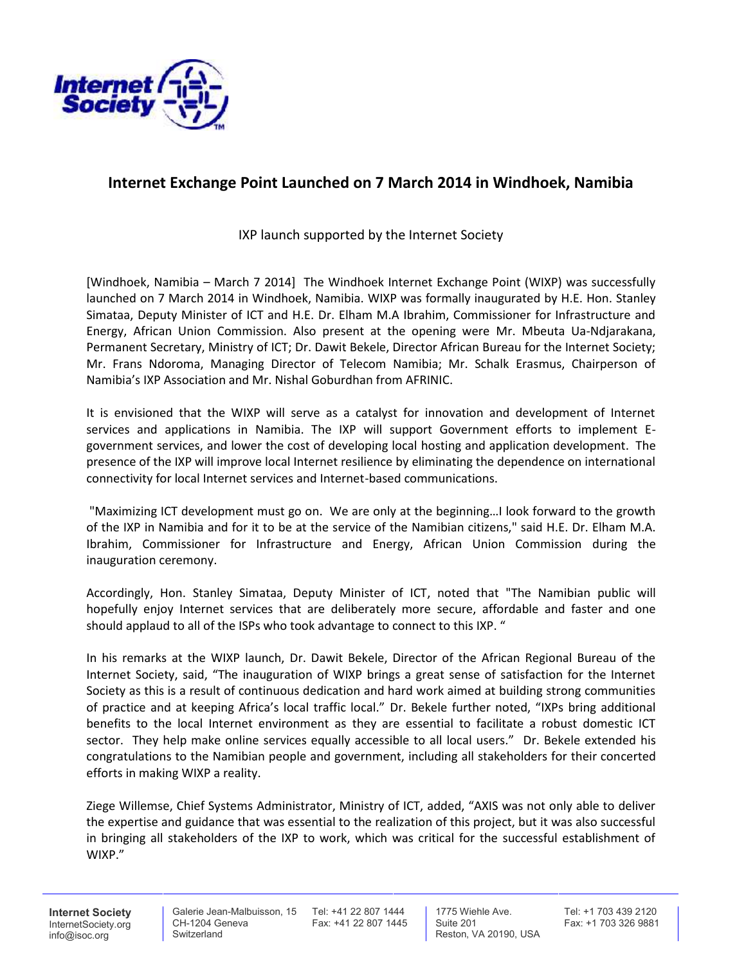

## **Internet Exchange Point Launched on 7 March 2014 in Windhoek, Namibia**

IXP launch supported by the Internet Society

[Windhoek, Namibia – March 7 2014] The Windhoek Internet Exchange Point (WIXP) was successfully launched on 7 March 2014 in Windhoek, Namibia. WIXP was formally inaugurated by H.E. Hon. Stanley Simataa, Deputy Minister of ICT and H.E. Dr. Elham M.A Ibrahim, Commissioner for Infrastructure and Energy, African Union Commission. Also present at the opening were Mr. Mbeuta Ua-Ndjarakana, Permanent Secretary, Ministry of ICT; Dr. Dawit Bekele, Director African Bureau for the Internet Society; Mr. Frans Ndoroma, Managing Director of Telecom Namibia; Mr. Schalk Erasmus, Chairperson of Namibia's IXP Association and Mr. Nishal Goburdhan from AFRINIC.

It is envisioned that the WIXP will serve as a catalyst for innovation and development of Internet services and applications in Namibia. The IXP will support Government efforts to implement E government services, and lower the cost of developing local hosting and application development. The presence of the IXP will improve local Internet resilience by eliminating the dependence on international connectivity for local Internet services and Internet-based communications.

"Maximizing ICT development must go on. We are only at the beginning…I look forward to the growth of the IXP in Namibia and for it to be at the service of the Namibian citizens," said H.E. Dr. Elham M.A. Ibrahim, Commissioner for Infrastructure and Energy, African Union Commission during the inauguration ceremony.

Accordingly, Hon. Stanley Simataa, Deputy Minister of ICT, noted that "The Namibian public will hopefully enjoy Internet services that are deliberately more secure, affordable and faster and one should applaud to all of the ISPs who took advantage to connect to this IXP. "

In his remarks at the WIXP launch, Dr. Dawit Bekele, Director of the African Regional Bureau of the Internet Society, said, "The inauguration of WIXP brings a great sense of satisfaction for the Internet Society as this is a result of continuous dedication and hard work aimed at building strong communities of practice and at keeping Africa's local traffic local." Dr. Bekele further noted, "IXPs bring additional benefits to the local Internet environment as they are essential to facilitate a robust domestic ICT sector. They help make online services equally accessible to all local users." Dr. Bekele extended his congratulations to the Namibian people and government, including all stakeholders for their concerted efforts in making WIXP a reality.

Ziege Willemse, Chief Systems Administrator, Ministry of ICT, added, "AXIS was not only able to deliver the expertise and guidance that was essential to the realization of this project, but it was also successful in bringing all stakeholders of the IXP to work, which was critical for the successful establishment of WIXP."

**Internet Society** InternetSociety.org info@isoc.org

CH-1204 Geneva Switzerland

Galerie Jean-Malbuisson, 15 Tel: +41 22 807 1444 Fax: +41 22 807 1445

1775 Wiehle Ave. Suite 201 Reston, VA 20190, USA